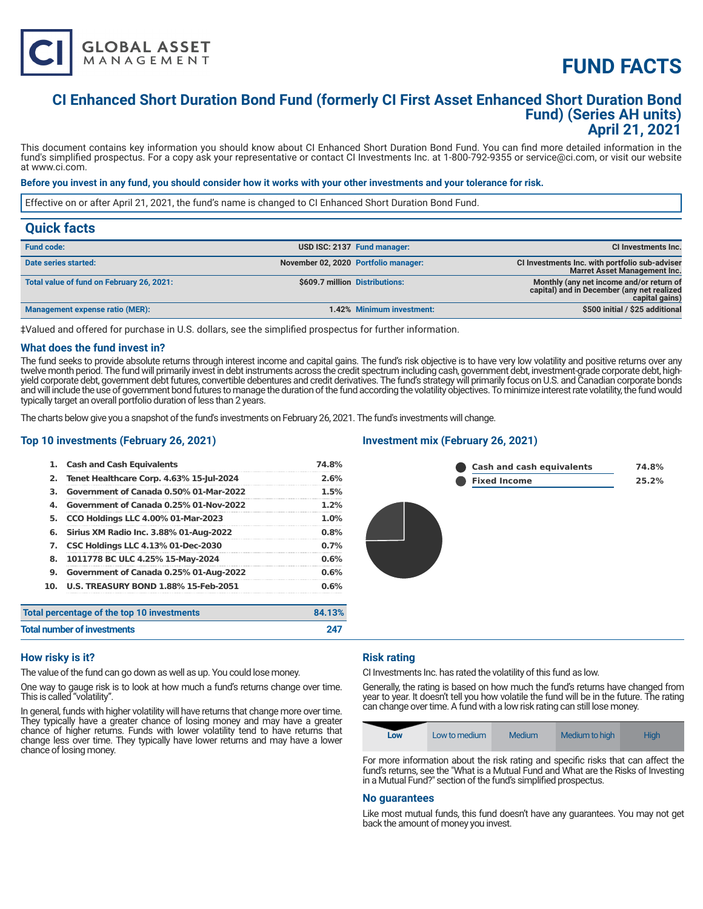# **FUND FACTS**

# **CI Enhanced Short Duration Bond Fund (formerly CI First Asset Enhanced Short Duration Bond Fund) (Series AH units) April 21, 2021**

This document contains key information you should know about CI Enhanced Short Duration Bond Fund. You can find more detailed information in the fund's simplified prospectus. For a copy ask your representative or contact CI Investments Inc. at 1-800-792-9355 or service@ci.com, or visit our website at www.ci.com.

### **Before you invest in any fund, you should consider how it works with your other investments and your tolerance for risk.**

Effective on or after April 21, 2021, the fund's name is changed to CI Enhanced Short Duration Bond Fund.

| <b>Quick facts</b>                        |                                      |                             |                                                                                                          |
|-------------------------------------------|--------------------------------------|-----------------------------|----------------------------------------------------------------------------------------------------------|
| <b>Fund code:</b>                         |                                      | USD ISC: 2137 Fund manager: | CI Investments Inc.                                                                                      |
| Date series started:                      | November 02, 2020 Portfolio manager: |                             | CI Investments Inc. with portfolio sub-adviser<br><b>Marret Asset Management Inc.</b>                    |
| Total value of fund on February 26, 2021: | \$609.7 million Distributions:       |                             | Monthly (any net income and/or return of<br>capital) and in December (any net realized<br>capital gains) |
| Management expense ratio (MER):           |                                      | 1.42% Minimum investment:   | \$500 initial / \$25 additional                                                                          |

‡Valued and offered for purchase in U.S. dollars, see the simplified prospectus for further information.

#### **What does the fund invest in?**

The fund seeks to provide absolute returns through interest income and capital gains. The fund's risk objective is to have very low volatility and positive returns over any twelve month period. The fund will primarily invest in debt instruments across the credit spectrum including cash, government debt, investment-grade corporate debt, highyield corporate debt, government debt futures, convertible debentures and credit derivatives. The fund's strategy will primarily focus on U.S. and Canadian corporate bonds and will include the use of government bond futures to manage the duration of the fund according the volatility objectives. To minimize interest rate volatility, the fund would typically target an overall portfolio duration of less than 2 years.

The charts below give you a snapshot of the fund's investments on February 26, 2021. The fund's investments will change.

# **Top 10 investments (February 26, 2021)**

**GLOBAL ASSET**<br>MANAGEMENT

| 1.  | <b>Cash and Cash Equivalents</b>            | 74.8%   |
|-----|---------------------------------------------|---------|
| 2.  | Tenet Healthcare Corp. 4.63% 15-Jul-2024    | 2.6%    |
| З.  | Government of Canada 0.50% 01-Mar-2022      | 1.5%    |
| 4.  | Government of Canada 0.25% 01-Nov-2022      | $1.2\%$ |
| 5.  | <b>CCO Holdings LLC 4.00% 01-Mar-2023</b>   | $1.0\%$ |
| 6.  | Sirius XM Radio Inc. 3.88% 01-Aug-2022      | 0.8%    |
| 7.  | <b>CSC Holdings LLC 4.13% 01-Dec-2030</b>   | 0.7%    |
| 8.  | 1011778 BC ULC 4.25% 15-May-2024            | 0.6%    |
| 9.  | Government of Canada 0.25% 01-Aug-2022      | 0.6%    |
| 10. | <b>U.S. TREASURY BOND 1.88% 15-Feb-2051</b> | 0.6%    |
|     | Total percentage of the top 10 investments  | 84.13%  |
|     | <b>Total number of investments</b>          | 247     |

#### **Investment mix (February 26, 2021)**



#### **How risky is it?**

The value of the fund can go down as well as up. You could lose money.

One way to gauge risk is to look at how much a fund's returns change over time. This is called "volatility".

In general, funds with higher volatility will have returns that change more over time. They typically have a greater chance of losing money and may have a greater chance of higher returns. Funds with lower volatility tend to have returns that change less over time. They typically have lower returns and may have a lower chance of losing money.

# **Risk rating**

CI Investments Inc. has rated the volatility of this fund as low.

Generally, the rating is based on how much the fund's returns have changed from year to year. It doesn't tell you how volatile the fund will be in the future. The rating can change over time. A fund with a low risk rating can still lose money.

| Low | Low to medium | Medium | Medium to high | Hiah |
|-----|---------------|--------|----------------|------|
|-----|---------------|--------|----------------|------|

For more information about the risk rating and specific risks that can affect the fund's returns, see the "What is a Mutual Fund and What are the Risks of Investing in a Mutual Fund?" section of the fund's simplified prospectus.

#### **No guarantees**

Like most mutual funds, this fund doesn't have any guarantees. You may not get back the amount of money you invest.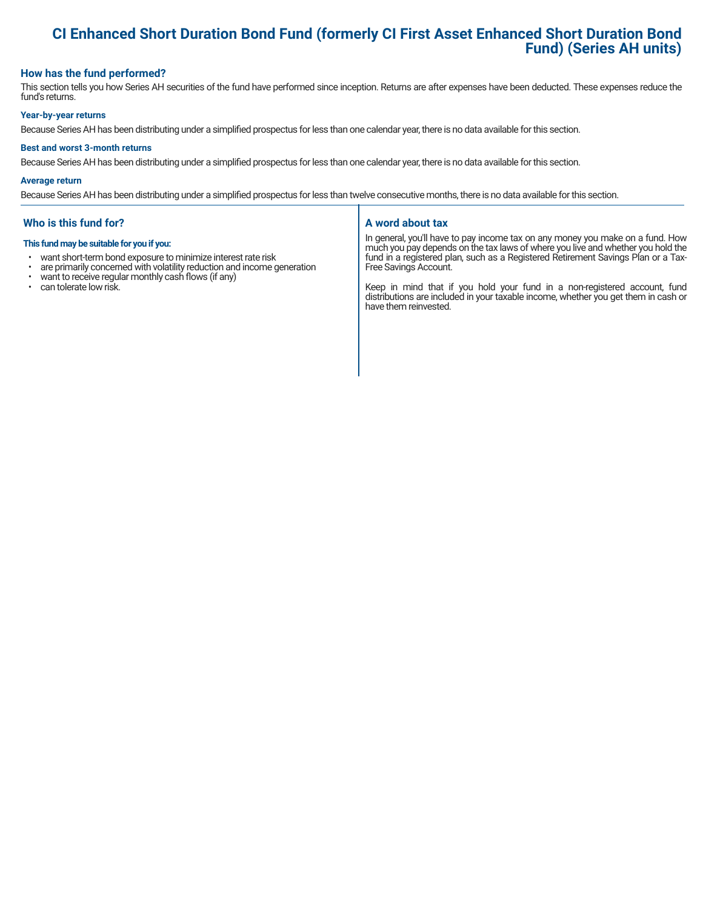# **CI Enhanced Short Duration Bond Fund (formerly CI First Asset Enhanced Short Duration Bond Fund) (Series AH units)**

# **How has the fund performed?**

This section tells you how Series AH securities of the fund have performed since inception. Returns are after expenses have been deducted. These expenses reduce the fund's returns.

#### **Year-by-year returns**

Because Series AH has been distributing under a simplified prospectus for less than one calendar year, there is no data available for this section.

#### **Best and worst 3-month returns**

Because Series AH has been distributing under a simplified prospectus for less than one calendar year, there is no data available for this section.

#### **Average return**

Because Series AH has been distributing under a simplified prospectus for less than twelve consecutive months, there is no data available for this section.

# **Who is this fund for?**

#### **This fund may be suitable for you if you:**

- want short-term bond exposure to minimize interest rate risk<br>• are primarily concerned with volatility reduction and income of
- are primarily concerned with volatility reduction and income generation  $\cdot$  want to receive requilar monthly cash flows (if any)
- want to receive regular monthly cash flows (if any)  $\cdot$  can tolerate low risk
- can tolerate low risk.

# **A word about tax**

In general, you'll have to pay income tax on any money you make on a fund. How much you pay depends on the tax laws of where you live and whether you hold the fund in a registered plan, such as a Registered Retirement Savings Plan or a Tax-Free Savings Account.

Keep in mind that if you hold your fund in a non-registered account, fund distributions are included in your taxable income, whether you get them in cash or have them reinvested.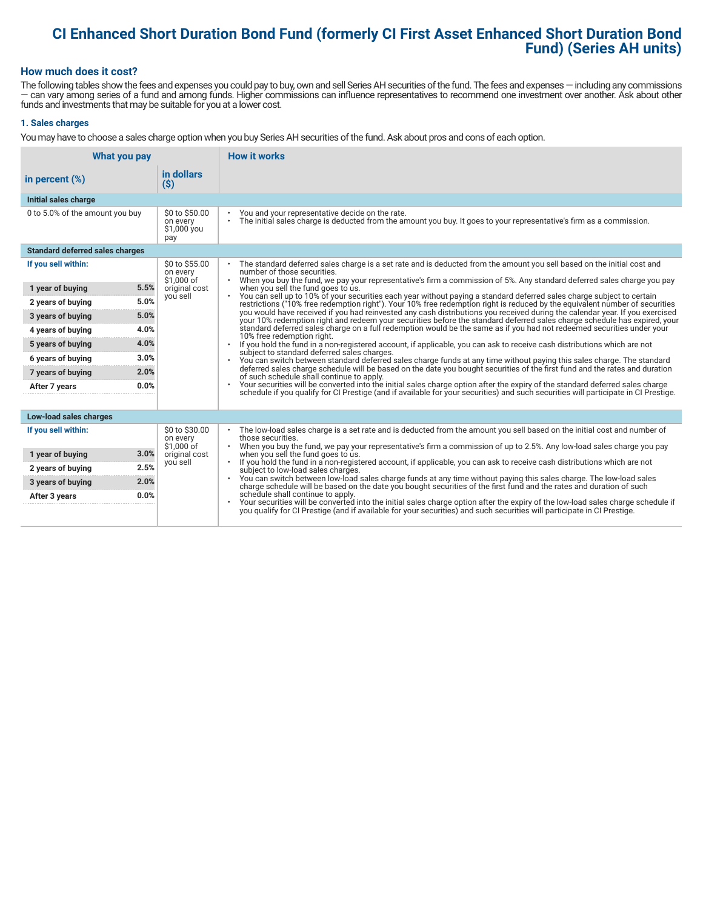# **CI Enhanced Short Duration Bond Fund (formerly CI First Asset Enhanced Short Duration Bond Fund) (Series AH units)**

# **How much does it cost?**

The following tables show the fees and expenses you could pay to buy, own and sell Series AH securities of the fund. The fees and expenses — including any commissions — can vary among series of a fund and among funds. Higher commissions can influence representatives to recommend one investment over another. Ask about other funds and investments that may be suitable for you at a lower cost.

### **1. Sales charges**

You may have to choose a sales charge option when you buy Series AH securities of the fund. Ask about pros and cons of each option.

|                                        | <b>How it works</b><br>What you pay              |                                                                                                                                                                                                                                                                                   |  |
|----------------------------------------|--------------------------------------------------|-----------------------------------------------------------------------------------------------------------------------------------------------------------------------------------------------------------------------------------------------------------------------------------|--|
| in percent $(\%)$                      | in dollars<br>$($ \$)                            |                                                                                                                                                                                                                                                                                   |  |
| Initial sales charge                   |                                                  |                                                                                                                                                                                                                                                                                   |  |
| 0 to 5.0% of the amount you buy        | \$0 to \$50.00<br>on every<br>\$1,000 you<br>pay | You and your representative decide on the rate.<br>The initial sales charge is deducted from the amount you buy. It goes to your representative's firm as a commission.<br>$\bullet$                                                                                              |  |
| <b>Standard deferred sales charges</b> |                                                  |                                                                                                                                                                                                                                                                                   |  |
| If you sell within:                    | \$0 to \$55.00<br>on every<br>\$1.000 of         | The standard deferred sales charge is a set rate and is deducted from the amount you sell based on the initial cost and<br>number of those securities.<br>$\bullet$                                                                                                               |  |
| 1 year of buying                       | 5.5%<br>original cost                            | When you buy the fund, we pay your representative's firm a commission of 5%. Any standard deferred sales charge you pay<br>when you sell the fund goes to us.                                                                                                                     |  |
| 2 years of buying                      | you sell<br>5.0%                                 | You can sell up to 10% of your securities each year without paying a standard deferred sales charge subject to certain<br>restrictions ("10% free redemption right"). Your 10% free redemption right is reduced by the equivalent number of securities                            |  |
| 3 years of buying                      | 5.0%                                             | you would have received if you had reinvested any cash distributions you received during the calendar year. If you exercised<br>your 10% redemption right and redeem your securities before the standard deferred sales charge schedule has expired, your                         |  |
| 4 years of buying                      | 4.0%                                             | standard deferred sales charge on a full redemption would be the same as if you had not redeemed securities under your                                                                                                                                                            |  |
| 5 years of buying                      | 4.0%                                             | 10% free redemption right.<br>If you hold the fund in a non-registered account, if applicable, you can ask to receive cash distributions which are not                                                                                                                            |  |
| 6 years of buying                      | 3.0%                                             | subject to standard deferred sales charges.<br>You can switch between standard deferred sales charge funds at any time without paying this sales charge. The standard<br>$\bullet$                                                                                                |  |
| 7 years of buying                      | 2.0%                                             | deferred sales charge schedule will be based on the date you bought securities of the first fund and the rates and duration<br>of such schedule shall continue to apply.                                                                                                          |  |
| After 7 years                          | 0.0%                                             | Your securities will be converted into the initial sales charge option after the expiry of the standard deferred sales charge<br>$\bullet$<br>schedule if you qualify for CI Prestige (and if available for your securities) and such securities will participate in CI Prestige. |  |
|                                        |                                                  |                                                                                                                                                                                                                                                                                   |  |
| Low-load sales charges                 |                                                  |                                                                                                                                                                                                                                                                                   |  |
| If you sell within:                    | \$0 to \$30.00<br>on every<br>\$1,000 of         | The low-load sales charge is a set rate and is deducted from the amount you sell based on the initial cost and number of<br>those securities.<br>$\bullet$                                                                                                                        |  |
| 1 year of buying                       | 3.0%<br>original cost                            | When you buy the fund, we pay your representative's firm a commission of up to 2.5%. Any low-load sales charge you pay<br>when you sell the fund goes to us.                                                                                                                      |  |
| 2 years of buying                      | you sell<br>2.5%                                 | If you hold the fund in a non-registered account, if applicable, you can ask to receive cash distributions which are not<br>$\bullet$<br>subject to low-load sales charges.                                                                                                       |  |
| 3 years of buying                      | 2.0%                                             | You can switch between low-load sales charge funds at any time without paying this sales charge. The low-load sales<br>$\bullet$<br>charge schedule will be based on the date you bought securities of the first fund and the rates and duration of such                          |  |
| After 3 years                          | 0.0%                                             | schedule shall continue to apply.<br>Your securities will be converted into the initial sales charge option after the expiry of the low-load sales charge schedule if                                                                                                             |  |
|                                        |                                                  | you qualify for CI Prestige (and if available for your securities) and such securities will participate in CI Prestige.                                                                                                                                                           |  |